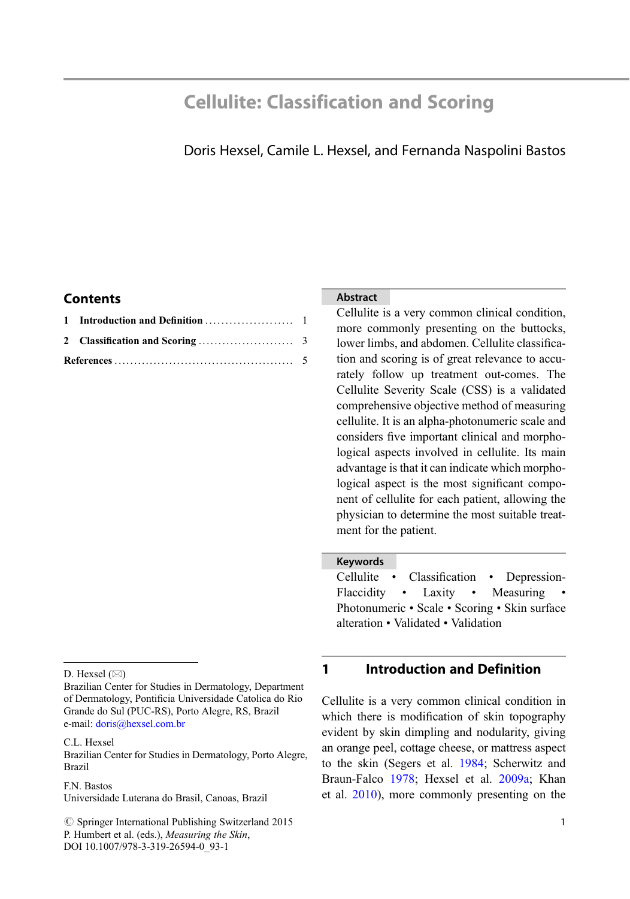# Cellulite: Classification and Scoring

# Doris Hexsel, Camile L. Hexsel, and Fernanda Naspolini Bastos

## **Contents**

### Abstract

Cellulite is a very common clinical condition, more commonly presenting on the buttocks, lower limbs, and abdomen. Cellulite classification and scoring is of great relevance to accurately follow up treatment out-comes. The Cellulite Severity Scale (CSS) is a validated comprehensive objective method of measuring cellulite. It is an alpha-photonumeric scale and considers five important clinical and morphological aspects involved in cellulite. Its main advantage is that it can indicate which morphological aspect is the most significant component of cellulite for each patient, allowing the physician to determine the most suitable treatment for the patient.

### Keywords

Cellulite • Classification • Depression-Flaccidity • Laxity • Measuring Photonumeric • Scale • Scoring • Skin surface alteration • Validated • Validation

#### D. Hexsel  $(\boxtimes)$

Brazilian Center for Studies in Dermatology, Department of Dermatology, Pontificia Universidade Catolica do Rio Grande do Sul (PUC-RS), Porto Alegre, RS, Brazil e-mail: [doris@hexsel.com.br](mailto:doris@hexsel.com.br)

C.L. Hexsel

Brazilian Center for Studies in Dermatology, Porto Alegre, Brazil

F.N. Bastos

Universidade Luterana do Brasil, Canoas, Brazil

 $\circled{c}$  Springer International Publishing Switzerland 2015 P. Humbert et al. (eds.), Measuring the Skin, DOI 10.1007/978-3-319-26594-0\_93-1

# 1 Introduction and Definition

Cellulite is a very common clinical condition in which there is modification of skin topography evident by skin dimpling and nodularity, giving an orange peel, cottage cheese, or mattress aspect to the skin (Segers et al. [1984;](#page-4-0) Scherwitz and Braun-Falco [1978](#page-4-0); Hexsel et al. [2009a](#page-4-0); Khan et al. [2010](#page-4-0)), more commonly presenting on the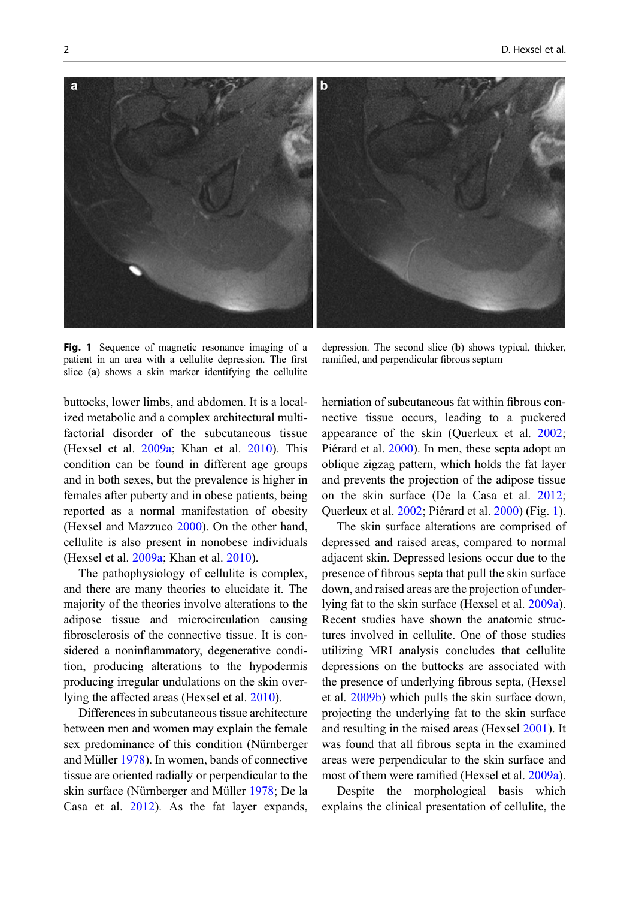Fig. 1 Sequence of magnetic resonance imaging of a patient in an area with a cellulite depression. The first slice (a) shows a skin marker identifying the cellulite

depression. The second slice (b) shows typical, thicker, ramified, and perpendicular fibrous septum

buttocks, lower limbs, and abdomen. It is a localized metabolic and a complex architectural multifactorial disorder of the subcutaneous tissue (Hexsel et al. [2009a;](#page-4-0) Khan et al. [2010](#page-4-0)). This condition can be found in different age groups and in both sexes, but the prevalence is higher in females after puberty and in obese patients, being reported as a normal manifestation of obesity (Hexsel and Mazzuco [2000\)](#page-4-0). On the other hand, cellulite is also present in nonobese individuals (Hexsel et al. [2009a](#page-4-0); Khan et al. [2010\)](#page-4-0).

The pathophysiology of cellulite is complex, and there are many theories to elucidate it. The majority of the theories involve alterations to the adipose tissue and microcirculation causing fibrosclerosis of the connective tissue. It is considered a noninflammatory, degenerative condition, producing alterations to the hypodermis producing irregular undulations on the skin overlying the affected areas (Hexsel et al. [2010\)](#page-4-0).

Differences in subcutaneous tissue architecture between men and women may explain the female sex predominance of this condition (Nürnberger and Müller [1978](#page-4-0)). In women, bands of connective tissue are oriented radially or perpendicular to the skin surface (Nürnberger and Müller [1978;](#page-4-0) De la Casa et al. [2012](#page-4-0)). As the fat layer expands,

herniation of subcutaneous fat within fibrous connective tissue occurs, leading to a puckered appearance of the skin (Querleux et al. [2002;](#page-4-0) Piérard et al. [2000](#page-4-0)). In men, these septa adopt an oblique zigzag pattern, which holds the fat layer and prevents the projection of the adipose tissue on the skin surface (De la Casa et al. [2012;](#page-4-0) Querleux et al. [2002;](#page-4-0) Piérard et al. [2000\)](#page-4-0) (Fig. 1).

The skin surface alterations are comprised of depressed and raised areas, compared to normal adjacent skin. Depressed lesions occur due to the presence of fibrous septa that pull the skin surface down, and raised areas are the projection of underlying fat to the skin surface (Hexsel et al. [2009a\)](#page-4-0). Recent studies have shown the anatomic structures involved in cellulite. One of those studies utilizing MRI analysis concludes that cellulite depressions on the buttocks are associated with the presence of underlying fibrous septa, (Hexsel et al. [2009b\)](#page-4-0) which pulls the skin surface down, projecting the underlying fat to the skin surface and resulting in the raised areas (Hexsel [2001](#page-4-0)). It was found that all fibrous septa in the examined areas were perpendicular to the skin surface and most of them were ramified (Hexsel et al. [2009a\)](#page-4-0).

Despite the morphological basis which explains the clinical presentation of cellulite, the

<span id="page-1-0"></span>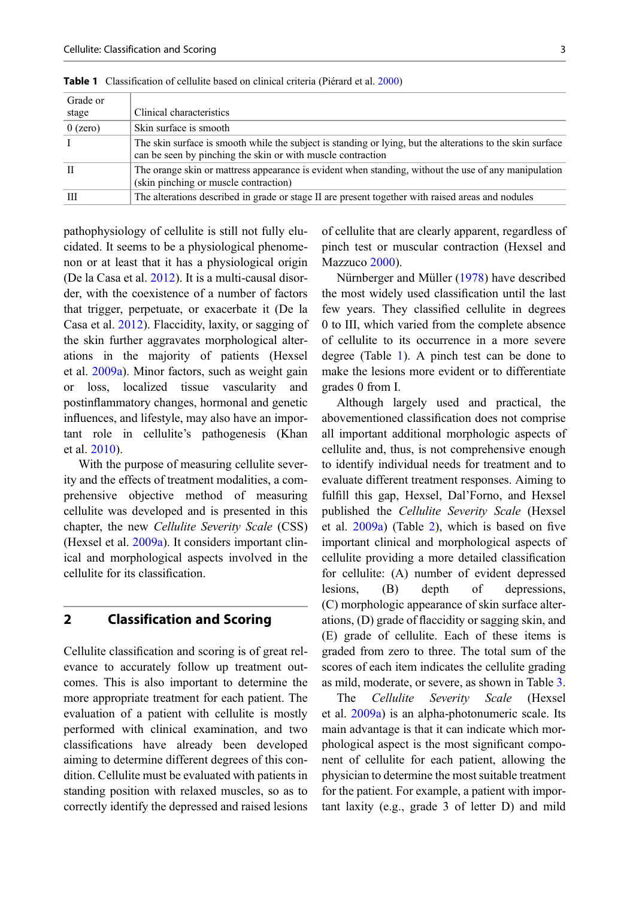| Grade or                                                                                                   |                                                                                                      |  |  |
|------------------------------------------------------------------------------------------------------------|------------------------------------------------------------------------------------------------------|--|--|
| stage                                                                                                      | Clinical characteristics                                                                             |  |  |
| $0$ (zero)                                                                                                 | Skin surface is smooth                                                                               |  |  |
| The skin surface is smooth while the subject is standing or lying, but the alterations to the skin surface |                                                                                                      |  |  |
|                                                                                                            | can be seen by pinching the skin or with muscle contraction                                          |  |  |
| П                                                                                                          | The orange skin or mattress appearance is evident when standing, without the use of any manipulation |  |  |
|                                                                                                            | (skin pinching or muscle contraction)                                                                |  |  |
| Ш                                                                                                          | The alterations described in grade or stage II are present together with raised areas and nodules    |  |  |
|                                                                                                            |                                                                                                      |  |  |

<span id="page-2-0"></span>Table 1 Classification of cellulite based on clinical criteria (Piérard et al. [2000\)](#page-4-0)

pathophysiology of cellulite is still not fully elucidated. It seems to be a physiological phenomenon or at least that it has a physiological origin (De la Casa et al. [2012\)](#page-4-0). It is a multi-causal disorder, with the coexistence of a number of factors that trigger, perpetuate, or exacerbate it (De la Casa et al. [2012\)](#page-4-0). Flaccidity, laxity, or sagging of the skin further aggravates morphological alterations in the majority of patients (Hexsel et al. [2009a](#page-4-0)). Minor factors, such as weight gain or loss, localized tissue vascularity and postinflammatory changes, hormonal and genetic influences, and lifestyle, may also have an important role in cellulite's pathogenesis (Khan et al. [2010\)](#page-4-0).

With the purpose of measuring cellulite severity and the effects of treatment modalities, a comprehensive objective method of measuring cellulite was developed and is presented in this chapter, the new Cellulite Severity Scale (CSS) (Hexsel et al. [2009a\)](#page-4-0). It considers important clinical and morphological aspects involved in the cellulite for its classification.

### 2 Classification and Scoring

Cellulite classification and scoring is of great relevance to accurately follow up treatment outcomes. This is also important to determine the more appropriate treatment for each patient. The evaluation of a patient with cellulite is mostly performed with clinical examination, and two classifications have already been developed aiming to determine different degrees of this condition. Cellulite must be evaluated with patients in standing position with relaxed muscles, so as to correctly identify the depressed and raised lesions of cellulite that are clearly apparent, regardless of pinch test or muscular contraction (Hexsel and Mazzuco [2000\)](#page-4-0).

Nürnberger and Müller [\(1978](#page-4-0)) have described the most widely used classification until the last few years. They classified cellulite in degrees 0 to III, which varied from the complete absence of cellulite to its occurrence in a more severe degree (Table 1). A pinch test can be done to make the lesions more evident or to differentiate grades 0 from I.

Although largely used and practical, the abovementioned classification does not comprise all important additional morphologic aspects of cellulite and, thus, is not comprehensive enough to identify individual needs for treatment and to evaluate different treatment responses. Aiming to fulfill this gap, Hexsel, Dal'Forno, and Hexsel published the Cellulite Severity Scale (Hexsel et al. [2009a](#page-4-0)) (Table [2\)](#page-3-0), which is based on five important clinical and morphological aspects of cellulite providing a more detailed classification for cellulite: (A) number of evident depressed lesions, (B) depth of depressions, (C) morphologic appearance of skin surface alterations, (D) grade of flaccidity or sagging skin, and (E) grade of cellulite. Each of these items is graded from zero to three. The total sum of the scores of each item indicates the cellulite grading as mild, moderate, or severe, as shown in Table [3](#page-3-0).

The *Cellulite Severity Scale* (Hexsel<br>et al. [2009a\)](#page-4-0) is an alpha-photonumeric scale. Its main advantage is that it can indicate which morphological aspect is the most significant component of cellulite for each patient, allowing the physician to determine the most suitable treatment for the patient. For example, a patient with important laxity (e.g., grade 3 of letter D) and mild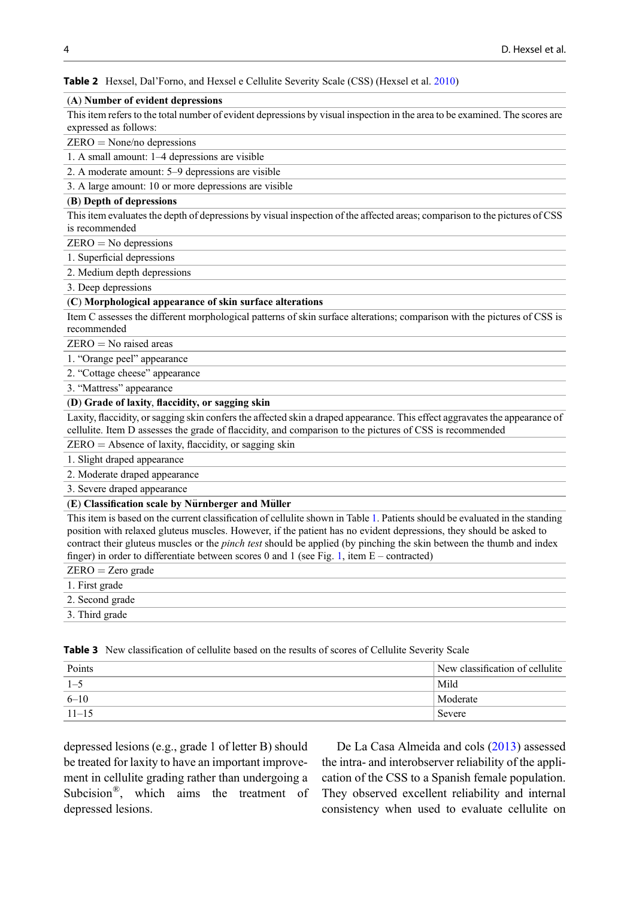<span id="page-3-0"></span>Table 2 Hexsel, Dal'Forno, and Hexsel e Cellulite Severity Scale (CSS) (Hexsel et al. [2010\)](#page-4-0)

#### (A) Number of evident depressions

This item refers to the total number of evident depressions by visual inspection in the area to be examined. The scores are expressed as follows:

ZERO = None/no depressions

1. A small amount: 1–4 depressions are visible

2. A moderate amount: 5–9 depressions are visible

3. A large amount: 10 or more depressions are visible

#### (B) Depth of depressions

This item evaluates the depth of depressions by visual inspection of the affected areas; comparison to the pictures of CSS is recommended

 $ZERO = No$  depressions

1. Superficial depressions

2. Medium depth depressions

3. Deep depressions

#### (C) Morphological appearance of skin surface alterations

Item C assesses the different morphological patterns of skin surface alterations; comparison with the pictures of CSS is recommended

 $ZERO = No$  raised areas

1. "Orange peel" appearance

2. "Cottage cheese" appearance

3. "Mattress" appearance

#### (D) Grade of laxity, flaccidity, or sagging skin

Laxity, flaccidity, or sagging skin confers the affected skin a draped appearance. This effect aggravates the appearance of cellulite. Item D assesses the grade of flaccidity, and comparison to the pictures of CSS is recommended

ZERO = Absence of laxity, flaccidity, or sagging skin

1. Slight draped appearance

2. Moderate draped appearance

3. Severe draped appearance

#### $(E)$  Classification scale by Nürnberger and Müller

This item is based on the current classification of cellulite shown in Table [1](#page-2-0). Patients should be evaluated in the standing position with relaxed gluteus muscles. However, if the patient has no evident depressions, they should be asked to contract their gluteus muscles or the *pinch test* should be applied (by pinching the skin between the thumb and index finger) in order to differentiate between scores 0 and [1](#page-1-0) (see Fig. 1, item  $E$  – contracted)

| $ZERO = Zero\ grade$ |
|----------------------|
| 1. First grade       |
| 2. Second grade      |
| 3. Third grade       |
|                      |

Table 3 New classification of cellulite based on the results of scores of Cellulite Severity Scale

| Points    | New classification of cellulite |
|-----------|---------------------------------|
| $1 - 5$   | Mild                            |
| $6 - 10$  | Moderate                        |
| $11 - 15$ | ' Severe                        |

depressed lesions (e.g., grade 1 of letter B) should be treated for laxity to have an important improvement in cellulite grading rather than undergoing a Subcision®, which aims the treatment of depressed lesions.

De La Casa Almeida and cols [\(2013](#page-4-0)) assessed the intra- and interobserver reliability of the application of the CSS to a Spanish female population. They observed excellent reliability and internal consistency when used to evaluate cellulite on